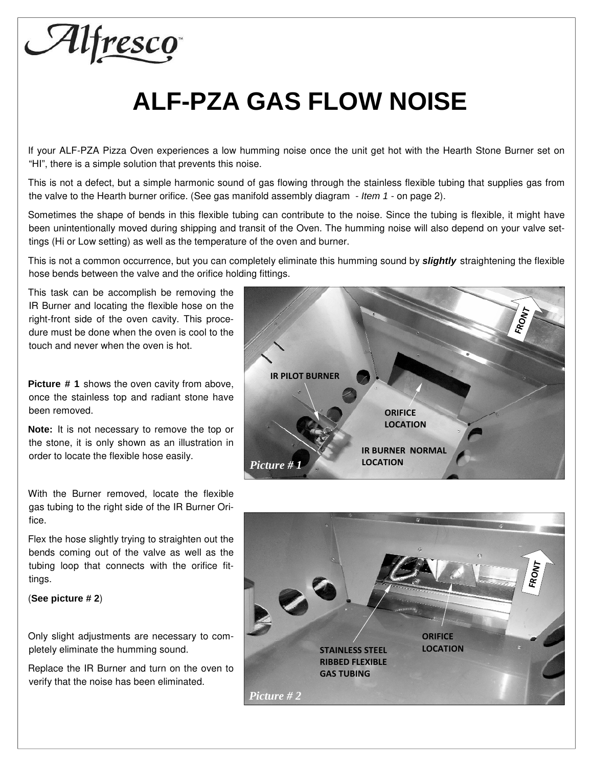Alfresco

## **ALF-PZA GAS FLOW NOISE**

If your ALF-PZA Pizza Oven experiences a low humming noise once the unit get hot with the Hearth Stone Burner set on "HI", there is a simple solution that prevents this noise.

This is not a defect, but a simple harmonic sound of gas flowing through the stainless flexible tubing that supplies gas from the valve to the Hearth burner orifice. (See gas manifold assembly diagram  $-$  Item  $1$  - on page 2).

Sometimes the shape of bends in this flexible tubing can contribute to the noise. Since the tubing is flexible, it might have been unintentionally moved during shipping and transit of the Oven. The humming noise will also depend on your valve settings (Hi or Low setting) as well as the temperature of the oven and burner.

This is not a common occurrence, but you can completely eliminate this humming sound by **slightly** straightening the flexible hose bends between the valve and the orifice holding fittings.

This task can be accomplish be removing the IR Burner and locating the flexible hose on the right-front side of the oven cavity. This procedure must be done when the oven is cool to the touch and never when the oven is hot.

**Picture # 1** shows the oven cavity from above, once the stainless top and radiant stone have been removed.

**Note:** It is not necessary to remove the top or the stone, it is only shown as an illustration in order to locate the flexible hose easily.

With the Burner removed, locate the flexible gas tubing to the right side of the IR Burner Orifice.

Flex the hose slightly trying to straighten out the bends coming out of the valve as well as the tubing loop that connects with the orifice fittings.

## (**See picture # 2**)

Only slight adjustments are necessary to completely eliminate the humming sound.

Replace the IR Burner and turn on the oven to verify that the noise has been eliminated.